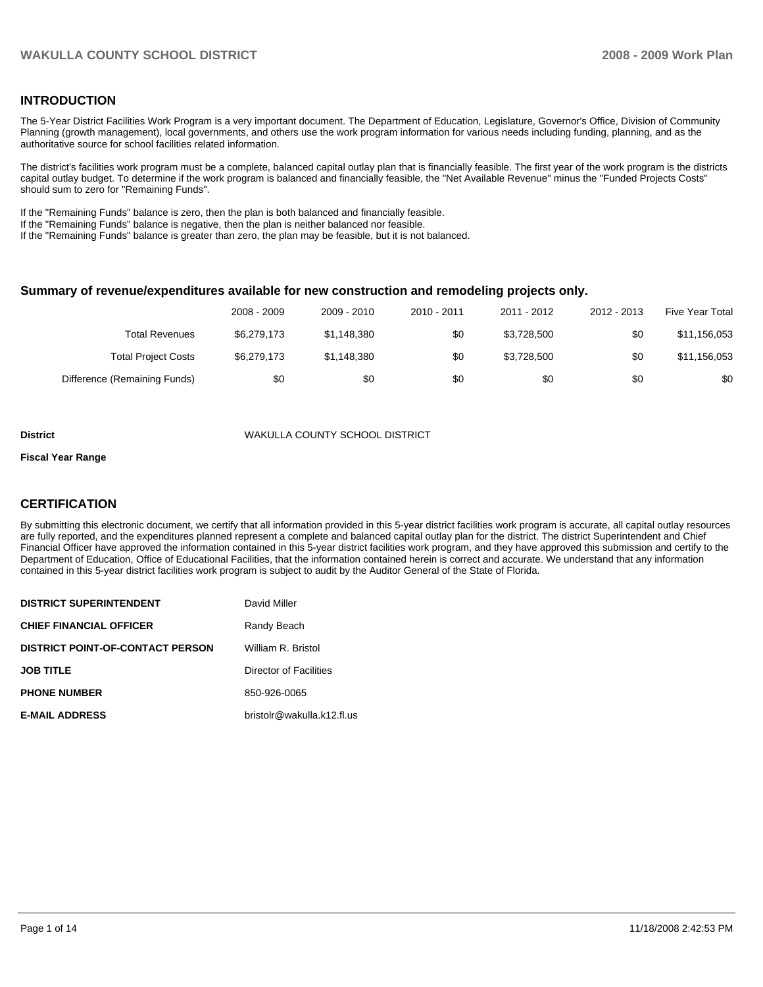## **INTRODUCTION**

The 5-Year District Facilities Work Program is a very important document. The Department of Education, Legislature, Governor's Office, Division of Community Planning (growth management), local governments, and others use the work program information for various needs including funding, planning, and as the authoritative source for school facilities related information.

The district's facilities work program must be a complete, balanced capital outlay plan that is financially feasible. The first year of the work program is the districts capital outlay budget. To determine if the work program is balanced and financially feasible, the "Net Available Revenue" minus the "Funded Projects Costs" should sum to zero for "Remaining Funds".

If the "Remaining Funds" balance is zero, then the plan is both balanced and financially feasible.

If the "Remaining Funds" balance is negative, then the plan is neither balanced nor feasible.

If the "Remaining Funds" balance is greater than zero, the plan may be feasible, but it is not balanced.

#### **Summary of revenue/expenditures available for new construction and remodeling projects only.**

|                              | 2008 - 2009 | 2009 - 2010 | 2010 - 2011 | 2011 - 2012 | 2012 - 2013 | <b>Five Year Total</b> |
|------------------------------|-------------|-------------|-------------|-------------|-------------|------------------------|
| Total Revenues               | \$6,279,173 | \$1,148,380 | \$0         | \$3,728,500 | \$0         | \$11,156,053           |
| <b>Total Project Costs</b>   | \$6,279,173 | \$1,148,380 | \$0         | \$3,728,500 | \$0         | \$11,156,053           |
| Difference (Remaining Funds) | \$0         | \$0         | \$0         | \$0         | \$0         | \$0                    |

#### **District** WAKULLA COUNTY SCHOOL DISTRICT

#### **Fiscal Year Range**

## **CERTIFICATION**

By submitting this electronic document, we certify that all information provided in this 5-year district facilities work program is accurate, all capital outlay resources are fully reported, and the expenditures planned represent a complete and balanced capital outlay plan for the district. The district Superintendent and Chief Financial Officer have approved the information contained in this 5-year district facilities work program, and they have approved this submission and certify to the Department of Education, Office of Educational Facilities, that the information contained herein is correct and accurate. We understand that any information contained in this 5-year district facilities work program is subject to audit by the Auditor General of the State of Florida.

| <b>DISTRICT SUPERINTENDENT</b>          | David Miller               |
|-----------------------------------------|----------------------------|
| <b>CHIEF FINANCIAL OFFICER</b>          | Randy Beach                |
| <b>DISTRICT POINT-OF-CONTACT PERSON</b> | William R. Bristol         |
| <b>JOB TITLE</b>                        | Director of Facilities     |
| <b>PHONE NUMBER</b>                     | 850-926-0065               |
| <b>E-MAIL ADDRESS</b>                   | bristolr@wakulla.k12.fl.us |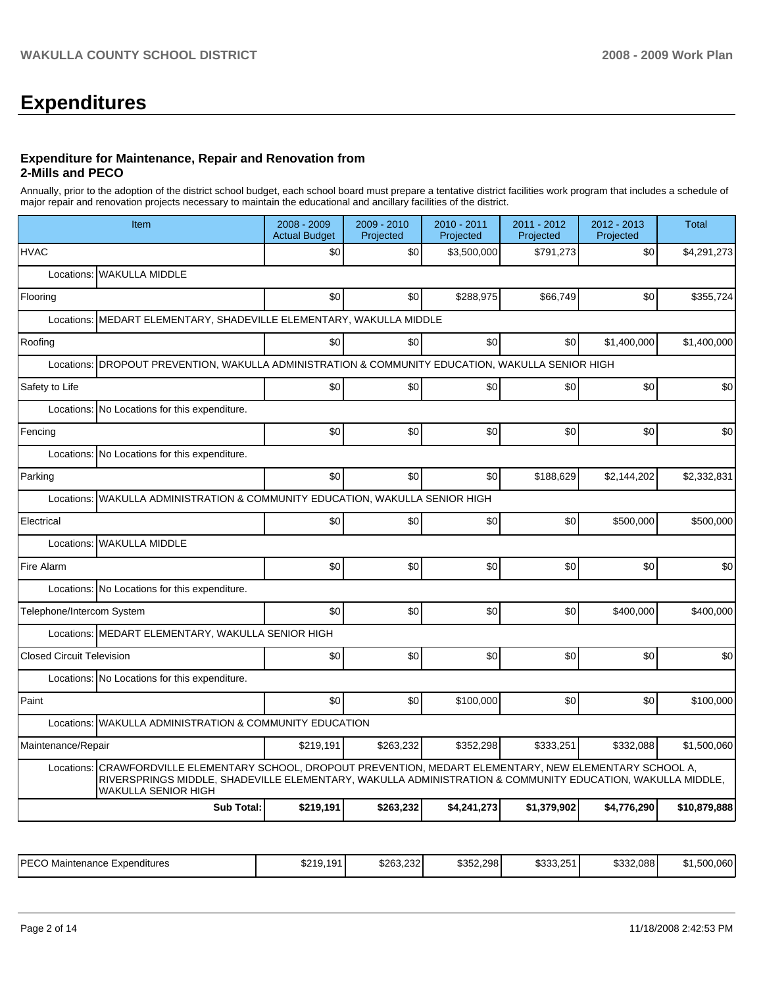# **Expenditures**

#### **Expenditure for Maintenance, Repair and Renovation from 2-Mills and PECO**

Annually, prior to the adoption of the district school budget, each school board must prepare a tentative district facilities work program that includes a schedule of major repair and renovation projects necessary to maintain the educational and ancillary facilities of the district.

| Item                                                                                                                                                                                                                                                      | 2008 - 2009<br><b>Actual Budget</b> | 2009 - 2010<br>Projected | 2010 - 2011<br>Projected | 2011 - 2012<br>Projected | $2012 - 2013$<br>Projected | <b>Total</b> |  |  |  |  |
|-----------------------------------------------------------------------------------------------------------------------------------------------------------------------------------------------------------------------------------------------------------|-------------------------------------|--------------------------|--------------------------|--------------------------|----------------------------|--------------|--|--|--|--|
| <b>HVAC</b>                                                                                                                                                                                                                                               | \$0                                 | \$0                      | \$3,500,000              | \$791,273                | \$0                        | \$4,291,273  |  |  |  |  |
| Locations: WAKULLA MIDDLE                                                                                                                                                                                                                                 |                                     |                          |                          |                          |                            |              |  |  |  |  |
| Flooring                                                                                                                                                                                                                                                  | \$0                                 | \$0                      | \$288,975                | \$66,749                 | \$0                        | \$355,724    |  |  |  |  |
| Locations:   MEDART ELEMENTARY, SHADEVILLE ELEMENTARY, WAKULLA MIDDLE                                                                                                                                                                                     |                                     |                          |                          |                          |                            |              |  |  |  |  |
| Roofing                                                                                                                                                                                                                                                   | \$0                                 | \$0                      | \$0                      | \$0                      | \$1,400,000                | \$1,400,000  |  |  |  |  |
| Locations: DROPOUT PREVENTION, WAKULLA ADMINISTRATION & COMMUNITY EDUCATION, WAKULLA SENIOR HIGH                                                                                                                                                          |                                     |                          |                          |                          |                            |              |  |  |  |  |
| Safety to Life                                                                                                                                                                                                                                            | \$0                                 | \$0                      | \$0                      | \$0                      | \$0                        | \$0          |  |  |  |  |
| Locations: No Locations for this expenditure.                                                                                                                                                                                                             |                                     |                          |                          |                          |                            |              |  |  |  |  |
| Fencing                                                                                                                                                                                                                                                   | \$0                                 | \$0                      | \$0                      | \$0                      | \$0                        | \$0          |  |  |  |  |
| Locations: No Locations for this expenditure.                                                                                                                                                                                                             |                                     |                          |                          |                          |                            |              |  |  |  |  |
| Parking                                                                                                                                                                                                                                                   | \$0                                 | \$0                      | \$0                      | \$188,629                | \$2,144,202                | \$2,332,831  |  |  |  |  |
| Locations: WAKULLA ADMINISTRATION & COMMUNITY EDUCATION, WAKULLA SENIOR HIGH                                                                                                                                                                              |                                     |                          |                          |                          |                            |              |  |  |  |  |
| Electrical                                                                                                                                                                                                                                                | \$0                                 | \$0                      | \$0                      | \$0                      | \$500,000                  | \$500,000    |  |  |  |  |
| Locations: WAKULLA MIDDLE                                                                                                                                                                                                                                 |                                     |                          |                          |                          |                            |              |  |  |  |  |
| Fire Alarm                                                                                                                                                                                                                                                | \$0                                 | \$0                      | \$0                      | \$0                      | \$0                        | \$0          |  |  |  |  |
| Locations: No Locations for this expenditure.                                                                                                                                                                                                             |                                     |                          |                          |                          |                            |              |  |  |  |  |
| Telephone/Intercom System                                                                                                                                                                                                                                 | \$0                                 | \$0                      | \$0                      | \$0                      | \$400.000                  | \$400,000    |  |  |  |  |
| Locations: MEDART ELEMENTARY, WAKULLA SENIOR HIGH                                                                                                                                                                                                         |                                     |                          |                          |                          |                            |              |  |  |  |  |
| <b>Closed Circuit Television</b>                                                                                                                                                                                                                          | \$0                                 | \$0                      | \$0                      | \$0                      | \$0                        | \$0          |  |  |  |  |
| Locations: No Locations for this expenditure.                                                                                                                                                                                                             |                                     |                          |                          |                          |                            |              |  |  |  |  |
| Paint                                                                                                                                                                                                                                                     | \$0                                 | \$0                      | \$100,000                | \$0                      | \$0                        | \$100,000    |  |  |  |  |
| Locations: WAKULLA ADMINISTRATION & COMMUNITY EDUCATION                                                                                                                                                                                                   |                                     |                          |                          |                          |                            |              |  |  |  |  |
| Maintenance/Repair                                                                                                                                                                                                                                        | \$219,191                           | \$263,232                | \$352,298                | \$333,251                | \$332,088                  | \$1,500,060  |  |  |  |  |
| CRAWFORDVILLE ELEMENTARY SCHOOL, DROPOUT PREVENTION, MEDART ELEMENTARY, NEW ELEMENTARY SCHOOL A,<br>Locations:<br>RIVERSPRINGS MIDDLE, SHADEVILLE ELEMENTARY, WAKULLA ADMINISTRATION & COMMUNITY EDUCATION, WAKULLA MIDDLE,<br><b>WAKULLA SENIOR HIGH</b> |                                     |                          |                          |                          |                            |              |  |  |  |  |
| <b>Sub Total:</b>                                                                                                                                                                                                                                         | \$219,191                           | \$263,232                | \$4,241,273              | \$1,379,902              | \$4,776,290                | \$10,879,888 |  |  |  |  |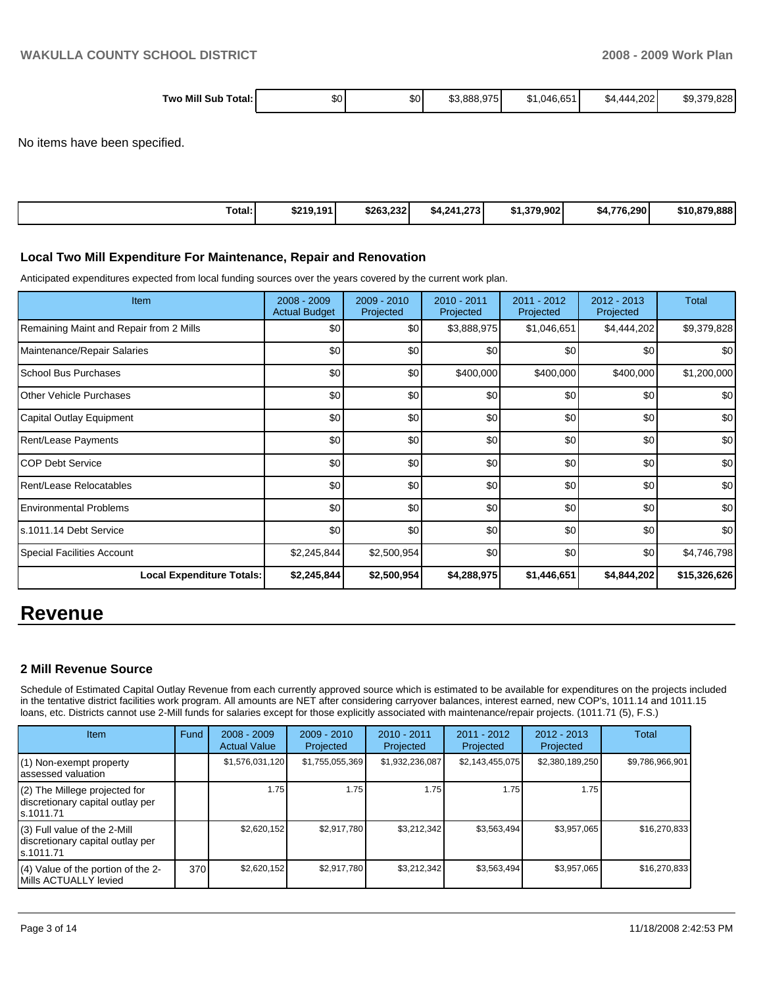| Two Mill<br>Sub<br>Total: | ₼ ⌒<br>ა∪ | $\sim$<br>৬০ | .888.975<br>\$3. | $\sim$ $\sim$ $\sim$<br>ა1.04Բ<br>6.65 | .202<br><i>AAA</i><br>54<br>___ | റററ<br>\$9<br>.ozc |
|---------------------------|-----------|--------------|------------------|----------------------------------------|---------------------------------|--------------------|
|                           |           |              |                  |                                        |                                 |                    |

No items have been specified.

| Total: | \$219.191 | \$263.232 | <b>072</b><br>\$4.241.273 | \$1.379.902 | \$4.776.290 | \$10,879,888 |
|--------|-----------|-----------|---------------------------|-------------|-------------|--------------|

#### **Local Two Mill Expenditure For Maintenance, Repair and Renovation**

Anticipated expenditures expected from local funding sources over the years covered by the current work plan.

| Item                                    | 2008 - 2009<br><b>Actual Budget</b> | $2009 - 2010$<br>Projected | 2010 - 2011<br>Projected | $2011 - 2012$<br>Projected | $2012 - 2013$<br>Projected | Total            |
|-----------------------------------------|-------------------------------------|----------------------------|--------------------------|----------------------------|----------------------------|------------------|
| Remaining Maint and Repair from 2 Mills | \$0                                 | \$0                        | \$3,888,975              | \$1,046,651                | \$4,444,202                | \$9,379,828      |
| Maintenance/Repair Salaries             | \$0                                 | \$0                        | \$0                      | \$0                        | \$0                        | \$0 <sub>1</sub> |
| School Bus Purchases                    | \$0                                 | \$0                        | \$400,000                | \$400,000                  | \$400,000                  | \$1,200,000      |
| <b>IOther Vehicle Purchases</b>         | \$0                                 | \$0                        | \$0                      | \$0                        | \$0                        | \$0              |
| Capital Outlay Equipment                | \$0                                 | \$0                        | \$0                      | \$0                        | \$0                        | \$0              |
| <b>Rent/Lease Payments</b>              | \$0                                 | \$0                        | \$0                      | \$0                        | \$0                        | \$0              |
| ICOP Debt Service                       | \$0                                 | \$0                        | \$0                      | \$0                        | \$0                        | \$0              |
| Rent/Lease Relocatables                 | \$0                                 | \$0                        | \$0                      | \$0                        | \$0                        | \$0              |
| Environmental Problems                  | \$0                                 | \$0                        | \$0                      | \$0                        | \$0                        | \$0              |
| s.1011.14 Debt Service                  | \$0                                 | \$0                        | \$0                      | \$0                        | \$0                        | \$0 <sub>1</sub> |
| Special Facilities Account              | \$2,245,844                         | \$2,500,954                | \$0                      | \$0                        | \$0                        | \$4,746,798      |
| <b>Local Expenditure Totals:</b>        | \$2,245,844                         | \$2,500,954                | \$4,288,975              | \$1,446,651                | \$4,844,202                | \$15,326,626     |

# **Revenue**

## **2 Mill Revenue Source**

Schedule of Estimated Capital Outlay Revenue from each currently approved source which is estimated to be available for expenditures on the projects included in the tentative district facilities work program. All amounts are NET after considering carryover balances, interest earned, new COP's, 1011.14 and 1011.15 loans, etc. Districts cannot use 2-Mill funds for salaries except for those explicitly associated with maintenance/repair projects. (1011.71 (5), F.S.)

| <b>Item</b>                                                                     | Fund | $2008 - 2009$<br><b>Actual Value</b> | $2009 - 2010$<br>Projected | $2010 - 2011$<br>Projected | 2011 - 2012<br>Projected | $2012 - 2013$<br>Projected | Total           |
|---------------------------------------------------------------------------------|------|--------------------------------------|----------------------------|----------------------------|--------------------------|----------------------------|-----------------|
| (1) Non-exempt property<br>lassessed valuation                                  |      | \$1,576,031,120                      | \$1,755,055,369            | \$1,932,236,087            | \$2,143,455,075          | \$2,380,189,250            | \$9,786,966,901 |
| (2) The Millege projected for<br>discretionary capital outlay per<br>ls.1011.71 |      | 1.75                                 | 1.75                       | 1.75                       | 1.75                     | 1.75                       |                 |
| (3) Full value of the 2-Mill<br>discretionary capital outlay per<br>ls.1011.71  |      | \$2,620,152                          | \$2,917,780                | \$3,212,342                | \$3,563,494              | \$3,957,065                | \$16,270,833    |
| (4) Value of the portion of the 2-<br>Mills ACTUALLY levied                     | 370I | \$2,620,152                          | \$2,917,780                | \$3,212,342                | \$3,563,494              | \$3,957,065                | \$16,270,833    |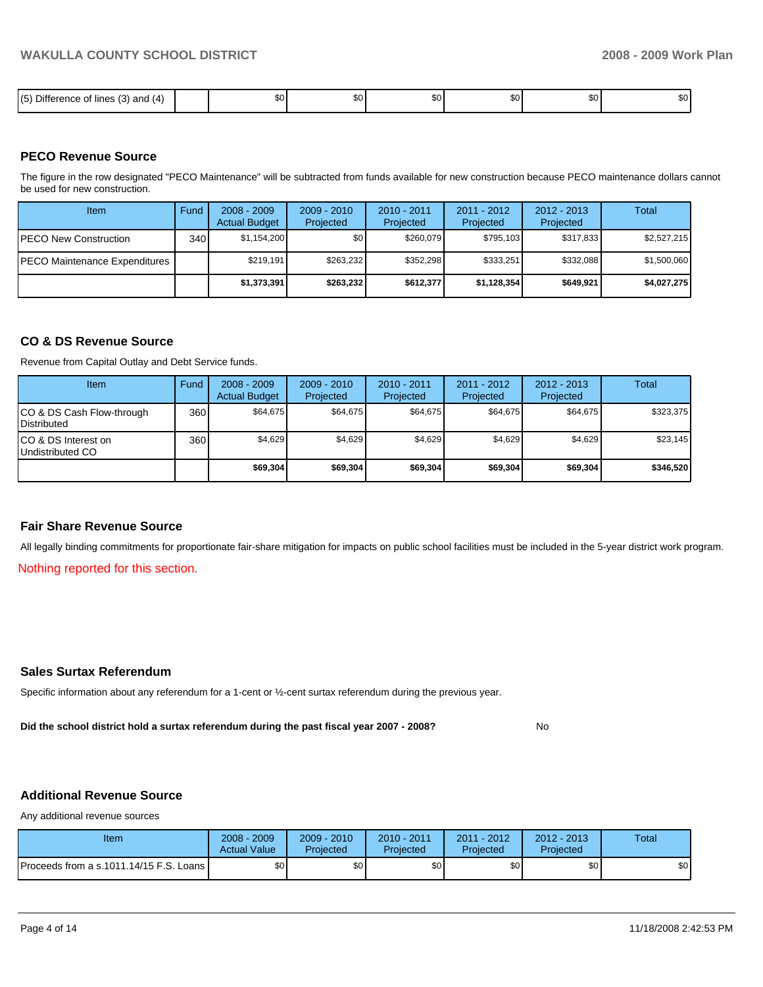| .<br>$- \cdot \cdot$<br>15<br>$\overline{\phantom{a}}$<br>$\cdot$<br>- ance<br>ు ట) and (4) ___<br>∶lınes<br>Diffe<br>: UI<br>.<br>٠. | റ<br>υU | \$0 | $\sim$<br>w | $\ddot{\phantom{m}}$<br>w | $\sim$<br>w | m c<br>35 U |
|---------------------------------------------------------------------------------------------------------------------------------------|---------|-----|-------------|---------------------------|-------------|-------------|

#### **PECO Revenue Source**

The figure in the row designated "PECO Maintenance" will be subtracted from funds available for new construction because PECO maintenance dollars cannot be used for new construction.

| Item                                  | Fund | $2008 - 2009$<br><b>Actual Budget</b> | $2009 - 2010$<br>Projected | $2010 - 2011$<br>Projected | $2011 - 2012$<br>Projected | $2012 - 2013$<br>Projected | Total       |
|---------------------------------------|------|---------------------------------------|----------------------------|----------------------------|----------------------------|----------------------------|-------------|
| <b>IPECO New Construction</b>         | 340  | \$1.154.200                           | \$٥Ι                       | \$260,079                  | \$795,103                  | \$317,833                  | \$2,527,215 |
| <b>IPECO Maintenance Expenditures</b> |      | \$219.191                             | \$263,232                  | \$352.298                  | \$333.251                  | \$332.088                  | \$1,500,060 |
|                                       |      | \$1,373,391                           | \$263,232                  | \$612,377                  | \$1,128,354                | \$649,921                  | \$4,027,275 |

#### **CO & DS Revenue Source**

Revenue from Capital Outlay and Debt Service funds.

| Item                                               | Fund | $2008 - 2009$<br><b>Actual Budget</b> | $2009 - 2010$<br>Projected | $2010 - 2011$<br>Projected | $2011 - 2012$<br>Projected | $2012 - 2013$<br>Projected | Total     |
|----------------------------------------------------|------|---------------------------------------|----------------------------|----------------------------|----------------------------|----------------------------|-----------|
| ICO & DS Cash Flow-through<br><b>I</b> Distributed | 360  | \$64.675                              | \$64.675                   | \$64.675                   | \$64.675                   | \$64.675                   | \$323.375 |
| ICO & DS Interest on<br>Undistributed CO           | 360  | \$4.629                               | \$4,629                    | \$4,629                    | \$4.629                    | \$4,629                    | \$23,145  |
|                                                    |      | \$69,304                              | \$69,304                   | \$69,304                   | \$69,304                   | \$69,304                   | \$346,520 |

#### **Fair Share Revenue Source**

All legally binding commitments for proportionate fair-share mitigation for impacts on public school facilities must be included in the 5-year district work program.

Nothing reported for this section.

## **Sales Surtax Referendum**

Specific information about any referendum for a 1-cent or ½-cent surtax referendum during the previous year.

**Did the school district hold a surtax referendum during the past fiscal year 2007 - 2008?** No

## **Additional Revenue Source**

Any additional revenue sources

| Item                                      | 2008 - 2009<br><b>Actual Value</b> | $2009 - 2010$<br>Projected | 2010 - 2011<br>Projected | 2011 - 2012<br>Projected | $2012 - 2013$<br>Projected | Total |
|-------------------------------------------|------------------------------------|----------------------------|--------------------------|--------------------------|----------------------------|-------|
| Proceeds from a s.1011.14/15 F.S. Loans I | ¢∩<br>υU                           | ¢Λ<br>υU                   | \$0                      | \$0                      | \$0                        | \$0   |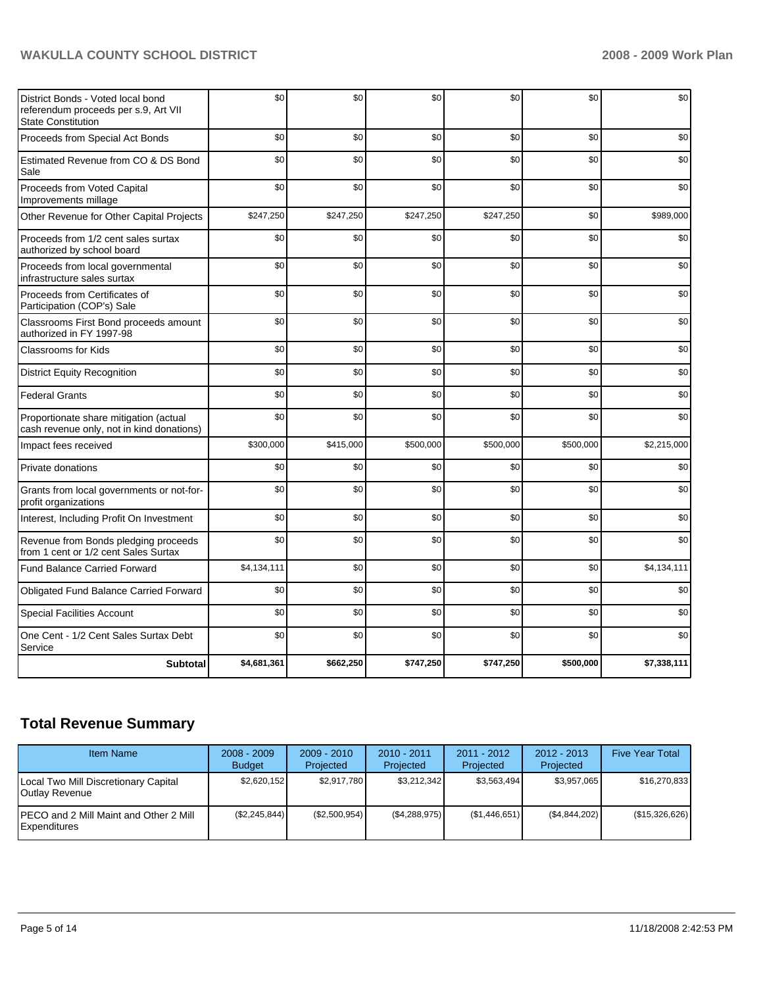# WAKULLA COUNTY SCHOOL DISTRICT **2008 - 2009 Work Plan**

| District Bonds - Voted local bond<br>referendum proceeds per s.9, Art VII<br><b>State Constitution</b> | \$0         | \$0       | \$0       | \$0       | \$0       | \$0         |
|--------------------------------------------------------------------------------------------------------|-------------|-----------|-----------|-----------|-----------|-------------|
| Proceeds from Special Act Bonds                                                                        | \$0         | \$0       | \$0       | \$0       | \$0       | \$0         |
| Estimated Revenue from CO & DS Bond<br>Sale                                                            | \$0         | \$0       | \$0       | \$0       | \$0       | \$0         |
| Proceeds from Voted Capital<br>Improvements millage                                                    | \$0         | \$0       | \$0       | \$0       | \$0       | \$0         |
| Other Revenue for Other Capital Projects                                                               | \$247,250   | \$247,250 | \$247,250 | \$247,250 | \$0       | \$989,000   |
| Proceeds from 1/2 cent sales surtax<br>authorized by school board                                      | \$0         | \$0       | \$0       | \$0       | \$0       | \$0         |
| Proceeds from local governmental<br>infrastructure sales surtax                                        | \$0         | \$0       | \$0       | \$0       | \$0       | \$0         |
| Proceeds from Certificates of<br>Participation (COP's) Sale                                            | \$0         | \$0       | \$0       | \$0       | \$0       | \$0         |
| Classrooms First Bond proceeds amount<br>authorized in FY 1997-98                                      | \$0         | \$0       | \$0       | \$0       | \$0       | \$0         |
| Classrooms for Kids                                                                                    | \$0         | \$0       | \$0       | \$0       | \$0       | \$0         |
| <b>District Equity Recognition</b>                                                                     | \$0         | \$0       | \$0       | \$0       | \$0       | \$0         |
| <b>Federal Grants</b>                                                                                  | \$0         | \$0       | \$0       | \$0       | \$0       | \$0         |
| Proportionate share mitigation (actual<br>cash revenue only, not in kind donations)                    | \$0         | \$0       | \$0       | \$0       | \$0       | \$0         |
| Impact fees received                                                                                   | \$300,000   | \$415,000 | \$500,000 | \$500,000 | \$500,000 | \$2,215,000 |
| Private donations                                                                                      | \$0         | \$0       | \$0       | \$0       | \$0       | \$0         |
| Grants from local governments or not-for-<br>profit organizations                                      | \$0         | \$0       | \$0       | \$0       | \$0       | \$0         |
| Interest, Including Profit On Investment                                                               | \$0         | \$0       | \$0       | \$0       | \$0       | \$0         |
| Revenue from Bonds pledging proceeds<br>from 1 cent or 1/2 cent Sales Surtax                           | \$0         | \$0       | \$0       | \$0       | \$0       | \$0         |
| <b>Fund Balance Carried Forward</b>                                                                    | \$4,134,111 | \$0       | \$0       | \$0       | \$0       | \$4,134,111 |
| Obligated Fund Balance Carried Forward                                                                 | \$0         | \$0       | \$0       | \$0       | \$0       | \$0         |
| <b>Special Facilities Account</b>                                                                      | \$0         | \$0       | \$0       | \$0       | \$0       | \$0         |
| One Cent - 1/2 Cent Sales Surtax Debt<br>Service                                                       | \$0         | \$0       | \$0       | \$0       | \$0       | \$0         |
| <b>Subtotal</b>                                                                                        | \$4,681,361 | \$662,250 | \$747,250 | \$747,250 | \$500,000 | \$7,338,111 |

# **Total Revenue Summary**

| <b>Item Name</b>                                               | $2008 - 2009$<br><b>Budget</b> | $2009 - 2010$<br>Projected | $2010 - 2011$<br>Projected | $2011 - 2012$<br>Projected | $2012 - 2013$<br>Projected | <b>Five Year Total</b> |
|----------------------------------------------------------------|--------------------------------|----------------------------|----------------------------|----------------------------|----------------------------|------------------------|
| Local Two Mill Discretionary Capital<br>Outlay Revenue         | \$2,620,152                    | \$2,917,780                | \$3,212,342                | \$3,563,494                | \$3,957,065                | \$16,270,833           |
| <b>IPECO and 2 Mill Maint and Other 2 Mill</b><br>Expenditures | (S2.245.844)                   | (\$2,500,954)              | (\$4,288,975)              | (S1, 446, 651)             | (\$4,844,202)              | (\$15,326,626)         |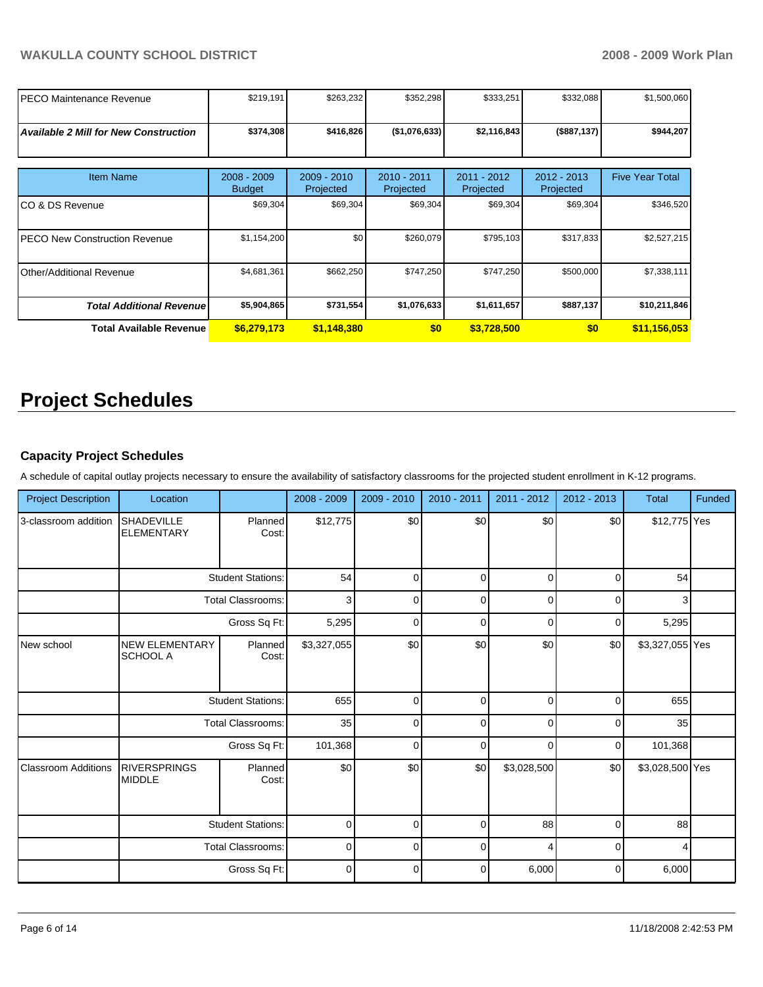| <b>PECO Maintenance Revenue</b>              | \$219,191                      | \$263,232                  | \$352,298                | \$333,251                | \$332,088                  | \$1,500,060            |
|----------------------------------------------|--------------------------------|----------------------------|--------------------------|--------------------------|----------------------------|------------------------|
|                                              |                                |                            |                          |                          |                            |                        |
| <b>Available 2 Mill for New Construction</b> | \$374,308                      | \$416,826                  | (\$1,076,633)            | \$2,116,843              | (\$887,137)                | \$944,207              |
|                                              |                                |                            |                          |                          |                            |                        |
|                                              |                                |                            |                          |                          |                            |                        |
| <b>Item Name</b>                             | $2008 - 2009$<br><b>Budget</b> | $2009 - 2010$<br>Projected | 2010 - 2011<br>Projected | 2011 - 2012<br>Projected | $2012 - 2013$<br>Projected | <b>Five Year Total</b> |
| CO & DS Revenue                              | \$69,304                       | \$69,304                   | \$69,304                 | \$69,304                 | \$69,304                   | \$346,520              |
| <b>PECO New Construction Revenue</b>         | \$1,154,200                    | \$0                        | \$260,079                | \$795,103                | \$317,833                  | \$2,527,215            |
| <b>Other/Additional Revenue</b>              | \$4,681,361                    | \$662,250                  | \$747,250                | \$747,250                | \$500,000                  | \$7,338,111            |
| <b>Total Additional Revenuel</b>             | \$5,904,865                    | \$731,554                  | \$1,076,633              | \$1,611,657              | \$887,137                  | \$10,211,846           |
| <b>Total Available Revenue</b>               | \$6,279,173                    | \$1,148,380                | \$0                      | \$3,728,500              | \$0                        | \$11,156,053           |

# **Project Schedules**

## **Capacity Project Schedules**

A schedule of capital outlay projects necessary to ensure the availability of satisfactory classrooms for the projected student enrollment in K-12 programs.

| <b>Project Description</b> | Location                               |                          | 2008 - 2009 | $2009 - 2010$ | 2010 - 2011 | $2011 - 2012$ | $2012 - 2013$ | <b>Total</b>    | Funded |
|----------------------------|----------------------------------------|--------------------------|-------------|---------------|-------------|---------------|---------------|-----------------|--------|
| 3-classroom addition       | <b>SHADEVILLE</b><br><b>ELEMENTARY</b> | Planned<br>Cost:         | \$12,775    | \$0           | \$0         | \$0           | \$0           | \$12,775 Yes    |        |
|                            | <b>Student Stations:</b>               |                          | 54          | $\Omega$      | $\mathbf 0$ | $\Omega$      | 0             | 54              |        |
|                            |                                        | <b>Total Classrooms:</b> | 3           | $\Omega$      | $\mathbf 0$ | $\Omega$      | 0             | 3               |        |
|                            |                                        | Gross Sq Ft:             | 5,295       | $\Omega$      | $\mathbf 0$ | $\Omega$      | 0             | 5,295           |        |
| New school                 | <b>NEW ELEMENTARY</b><br>SCHOOL A      | Planned<br>Cost:         | \$3,327,055 | \$0           | \$0         | \$0           | \$0           | \$3,327,055 Yes |        |
|                            | <b>Student Stations:</b>               |                          | 655         | $\mathbf 0$   | $\mathbf 0$ | $\Omega$      | $\mathbf 0$   | 655             |        |
|                            |                                        | <b>Total Classrooms:</b> | 35          | $\mathbf 0$   | $\mathbf 0$ | $\Omega$      | $\mathbf 0$   | 35              |        |
|                            |                                        | Gross Sq Ft:             | 101,368     | $\Omega$      | $\Omega$    | $\Omega$      | 0             | 101,368         |        |
| <b>Classroom Additions</b> | <b>RIVERSPRINGS</b><br><b>MIDDLE</b>   | Planned<br>Cost:         | \$0         | \$0           | \$0         | \$3,028,500   | \$0           | \$3,028,500 Yes |        |
|                            |                                        | <b>Student Stations:</b> | $\mathbf 0$ | $\Omega$      | $\mathbf 0$ | 88            | $\mathbf 0$   | 88              |        |
|                            |                                        | <b>Total Classrooms:</b> | $\mathbf 0$ | $\Omega$      | $\mathbf 0$ |               | 0             | 4               |        |
|                            |                                        | Gross Sq Ft:             | $\mathbf 0$ | 0             | $\mathbf 0$ | 6,000         | $\mathbf 0$   | 6,000           |        |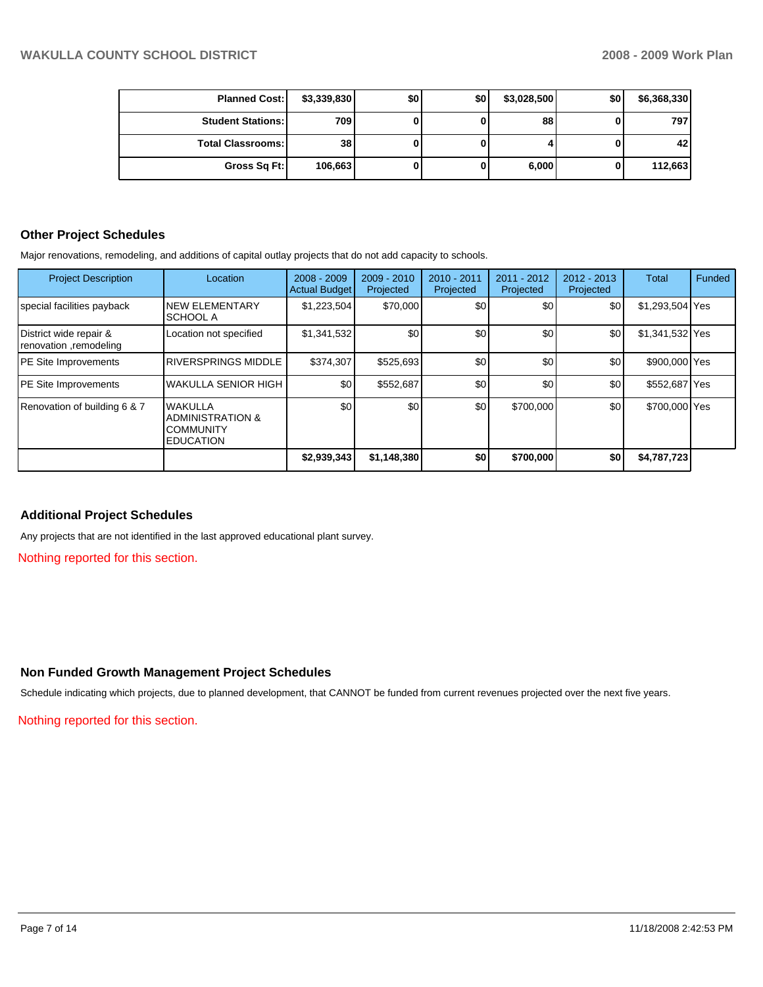| <b>Planned Cost:</b>       | \$3,339,830 | \$0 | \$0 | \$3,028,500 | \$0 | \$6,368,330 |
|----------------------------|-------------|-----|-----|-------------|-----|-------------|
| <b>Student Stations: I</b> | <b>709</b>  |     |     | 88          |     | 797         |
| <b>Total Classrooms:</b>   | 38          |     |     |             |     | 42          |
| Gross Sq Ft:               | 106,663     |     | 0   | 6,000       |     | 112,663     |

## **Other Project Schedules**

Major renovations, remodeling, and additions of capital outlay projects that do not add capacity to schools.

| <b>Project Description</b>                       | Location                                                                              | $2008 - 2009$<br><b>Actual Budget</b> | $2009 - 2010$<br>Projected | 2010 - 2011<br>Projected | 2011 - 2012<br>Projected | 2012 - 2013<br>Projected | Total           | Funded |
|--------------------------------------------------|---------------------------------------------------------------------------------------|---------------------------------------|----------------------------|--------------------------|--------------------------|--------------------------|-----------------|--------|
| special facilities payback                       | <b>NEW ELEMENTARY</b><br>ISCHOOL A                                                    | \$1,223,504                           | \$70,000                   | \$0                      | \$0                      | \$0                      | \$1,293,504 Yes |        |
| District wide repair &<br>renovation ,remodeling | Location not specified                                                                | \$1,341,532                           | \$0                        | \$0                      | \$0                      | \$0                      | \$1,341,532 Yes |        |
| <b>PE</b> Site Improvements                      | <b>RIVERSPRINGS MIDDLE</b>                                                            | \$374,307                             | \$525,693                  | \$0                      | \$0                      | \$0                      | \$900,000 Yes   |        |
| <b>PE</b> Site Improvements                      | WAKULLA SENIOR HIGH                                                                   | \$0                                   | \$552,687                  | \$0                      | \$0                      | \$0                      | \$552,687 Yes   |        |
| Renovation of building 6 & 7                     | <b>WAKULLA</b><br><b>ADMINISTRATION &amp;</b><br><b>COMMUNITY</b><br><b>EDUCATION</b> | \$0                                   | \$0                        | \$0                      | \$700,000                | \$0                      | \$700,000 Yes   |        |
|                                                  |                                                                                       | \$2,939,343                           | \$1,148,380                | \$0                      | \$700,000                | \$0                      | \$4,787,723     |        |

## **Additional Project Schedules**

Any projects that are not identified in the last approved educational plant survey.

Nothing reported for this section.

## **Non Funded Growth Management Project Schedules**

Schedule indicating which projects, due to planned development, that CANNOT be funded from current revenues projected over the next five years.

Nothing reported for this section.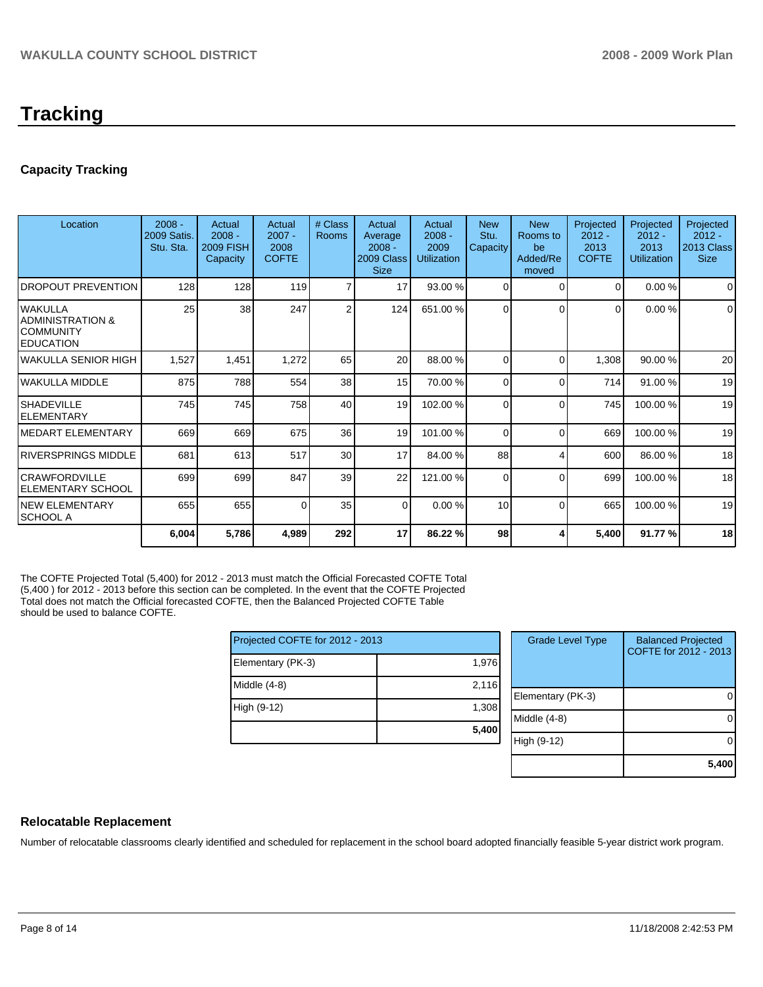# **Tracking**

# **Capacity Tracking**

| Location                                                         | $2008 -$<br>2009 Satis.<br>Stu. Sta. | Actual<br>$2008 -$<br><b>2009 FISH</b><br>Capacity | Actual<br>$2007 -$<br>2008<br><b>COFTE</b> | # Class<br><b>Rooms</b> | Actual<br>Average<br>$2008 -$<br>2009 Class<br><b>Size</b> | Actual<br>$2008 -$<br>2009<br><b>Utilization</b> | <b>New</b><br>Stu.<br>Capacity | <b>New</b><br>Rooms to<br>be<br>Added/Re<br>moved | Projected<br>$2012 -$<br>2013<br><b>COFTE</b> | Projected<br>$2012 -$<br>2013<br><b>Utilization</b> | Projected<br>$2012 -$<br>2013 Class<br><b>Size</b> |
|------------------------------------------------------------------|--------------------------------------|----------------------------------------------------|--------------------------------------------|-------------------------|------------------------------------------------------------|--------------------------------------------------|--------------------------------|---------------------------------------------------|-----------------------------------------------|-----------------------------------------------------|----------------------------------------------------|
| <b>DROPOUT PREVENTION</b>                                        | 128                                  | 128                                                | 119                                        | 7                       | 17                                                         | 93.00 %                                          | $\Omega$                       | $\Omega$                                          | $\Omega$                                      | 0.00%                                               | $\Omega$                                           |
| lwakulla<br>IADMINISTRATION &<br>ICOMMUNITY<br><b>IEDUCATION</b> | 25                                   | 38                                                 | 247                                        | 2                       | 124                                                        | 651.00 %                                         | 0                              | $\Omega$                                          | 0                                             | 0.00%                                               | $\Omega$                                           |
| lwakulla SENIOR HIGH                                             | 1,527                                | 1,451                                              | 1,272                                      | 65                      | 20                                                         | 88.00 %                                          | $\Omega$                       | $\Omega$                                          | 1,308                                         | 90.00 %                                             | 20                                                 |
| lwakulla middle                                                  | 875                                  | 788                                                | 554                                        | 38                      | 15                                                         | 70.00 %                                          | 0                              | $\Omega$                                          | 714                                           | 91.00 %                                             | 19                                                 |
| ISHADEVILLE<br><b>IELEMENTARY</b>                                | 745                                  | 745                                                | 758                                        | 40                      | 19                                                         | 102.00 %                                         | $\Omega$                       | $\Omega$                                          | 745                                           | 100.00 %                                            | 19                                                 |
| IMEDART ELEMENTARY                                               | 669                                  | 669                                                | 675                                        | 36 <sup>1</sup>         | 19                                                         | 101.00 %                                         | 0                              | $\Omega$                                          | 669                                           | 100.00 %                                            | 19                                                 |
| IRIVERSPRINGS MIDDLE                                             | 681                                  | 613                                                | 517                                        | 30 <sub>l</sub>         | 17                                                         | 84.00 %                                          | 88                             | 4                                                 | 600                                           | 86.00 %                                             | 18                                                 |
| ICRAWFORDVILLE<br>IELEMENTARY SCHOOL                             | 699                                  | 699                                                | 847                                        | 39                      | 22                                                         | 121.00 %                                         | 0                              | $\Omega$                                          | 699                                           | 100.00 %                                            | 18                                                 |
| INEW ELEMENTARY<br>ISCHOOL A                                     | 655                                  | 655                                                | 0                                          | 35                      | $\Omega$                                                   | 0.00%                                            | 10                             | $\Omega$                                          | 665                                           | 100.00 %                                            | 19                                                 |
|                                                                  | 6,004                                | 5,786                                              | 4,989                                      | 292                     | 17                                                         | 86.22 %                                          | 98                             |                                                   | 5,400                                         | 91.77 %                                             | 18                                                 |

The COFTE Projected Total (5,400) for 2012 - 2013 must match the Official Forecasted COFTE Total (5,400 ) for 2012 - 2013 before this section can be completed. In the event that the COFTE Projected Total does not match the Official forecasted COFTE, then the Balanced Projected COFTE Table should be used to balance COFTE.

| Projected COFTE for 2012 - 2013 |       |
|---------------------------------|-------|
| Elementary (PK-3)               | 1,976 |
| Middle (4-8)                    | 2,116 |
| High (9-12)                     | 1,308 |
|                                 | 5,400 |
|                                 |       |

| <b>Grade Level Type</b> | <b>Balanced Projected</b><br>COFTE for 2012 - 2013 |
|-------------------------|----------------------------------------------------|
| Elementary (PK-3)       |                                                    |
| Middle (4-8)            |                                                    |
| High (9-12)             |                                                    |
|                         | 5,400                                              |

## **Relocatable Replacement**

Number of relocatable classrooms clearly identified and scheduled for replacement in the school board adopted financially feasible 5-year district work program.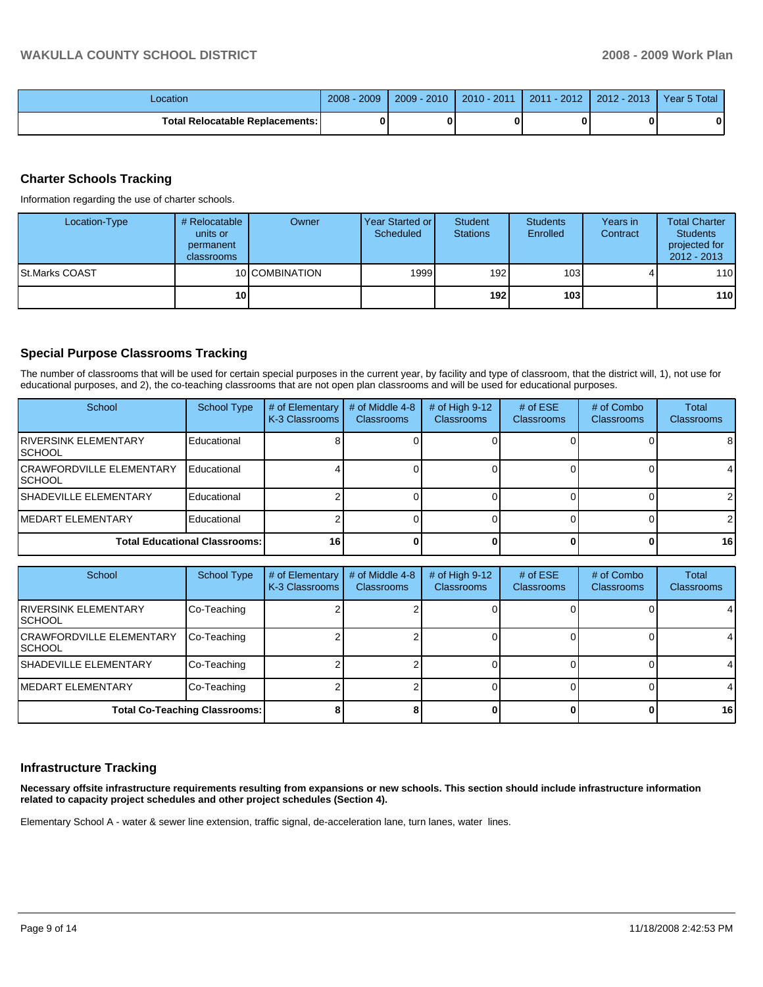| Location                                 | 2009<br>$2008 -$ | $2009 - 2010$ | $2010 - 2011$ | $2011 - 2012$ | $2012 - 2013$ | Year 5 Total |
|------------------------------------------|------------------|---------------|---------------|---------------|---------------|--------------|
| <b>Total Relocatable Replacements: I</b> |                  |               | 0             |               |               |              |

## **Charter Schools Tracking**

Information regarding the use of charter schools.

| Location-Type          | # Relocatable<br>units or<br>permanent<br>classrooms | Owner          | Year Started or<br>Scheduled | Student<br><b>Stations</b> | <b>Students</b><br>Enrolled | Years in<br>Contract | <b>Total Charter</b><br><b>Students</b><br>projected for<br>$2012 - 2013$ |
|------------------------|------------------------------------------------------|----------------|------------------------------|----------------------------|-----------------------------|----------------------|---------------------------------------------------------------------------|
| <b>ISt.Marks COAST</b> |                                                      | 10 COMBINATION | 1999                         | 192                        | 103 <sup>1</sup>            |                      | 110                                                                       |
|                        | 10                                                   |                |                              | 192 <sub>l</sub>           | 103 <sub>l</sub>            |                      | 110                                                                       |

## **Special Purpose Classrooms Tracking**

The number of classrooms that will be used for certain special purposes in the current year, by facility and type of classroom, that the district will, 1), not use for educational purposes, and 2), the co-teaching classrooms that are not open plan classrooms and will be used for educational purposes.

| School                                             | <b>School Type</b> | # of Elementary<br>K-3 Classrooms | # of Middle 4-8<br><b>Classrooms</b> | # of High $9-12$<br><b>Classrooms</b> | # of $ESE$<br>Classrooms | # of Combo<br>Classrooms | Total<br><b>Classrooms</b> |
|----------------------------------------------------|--------------------|-----------------------------------|--------------------------------------|---------------------------------------|--------------------------|--------------------------|----------------------------|
| <b>IRIVERSINK ELEMENTARY</b><br><b>ISCHOOL</b>     | Educational        |                                   |                                      |                                       |                          |                          | 8                          |
| <b>ICRAWFORDVILLE ELEMENTARY</b><br><b>ISCHOOL</b> | Educational        |                                   |                                      |                                       |                          |                          | $\overline{4}$             |
| <b>ISHADEVILLE ELEMENTARY</b>                      | Educational        |                                   |                                      |                                       |                          |                          | 21                         |
| <b>IMEDART ELEMENTARY</b>                          | Educational        |                                   |                                      |                                       |                          |                          | $\mathcal{P}$              |
| <b>Total Educational Classrooms:</b>               |                    | 16                                |                                      |                                       |                          |                          | 16 <sup>1</sup>            |

| School                                     | <b>School Type</b> | # of Elementary<br>K-3 Classrooms | # of Middle 4-8<br><b>Classrooms</b> | # of High $9-12$<br><b>Classrooms</b> | # of $ESE$<br><b>Classrooms</b> | # of Combo<br><b>Classrooms</b> | Total<br>Classrooms |
|--------------------------------------------|--------------------|-----------------------------------|--------------------------------------|---------------------------------------|---------------------------------|---------------------------------|---------------------|
| <b>IRIVERSINK ELEMENTARY</b><br>ISCHOOL    | Co-Teaching        |                                   |                                      |                                       |                                 |                                 | 4                   |
| <b>CRAWFORDVILLE ELEMENTARY</b><br>ISCHOOL | Co-Teaching        |                                   |                                      |                                       |                                 |                                 | 4                   |
| <b>ISHADEVILLE ELEMENTARY</b>              | Co-Teaching        |                                   |                                      |                                       |                                 |                                 | 4                   |
| <b>IMEDART ELEMENTARY</b>                  | Co-Teaching        |                                   |                                      |                                       |                                 |                                 | 4                   |
| <b>Total Co-Teaching Classrooms:</b>       |                    |                                   |                                      |                                       |                                 |                                 | 16                  |

## **Infrastructure Tracking**

**Necessary offsite infrastructure requirements resulting from expansions or new schools. This section should include infrastructure information related to capacity project schedules and other project schedules (Section 4).** 

Elementary School A - water & sewer line extension, traffic signal, de-acceleration lane, turn lanes, water lines.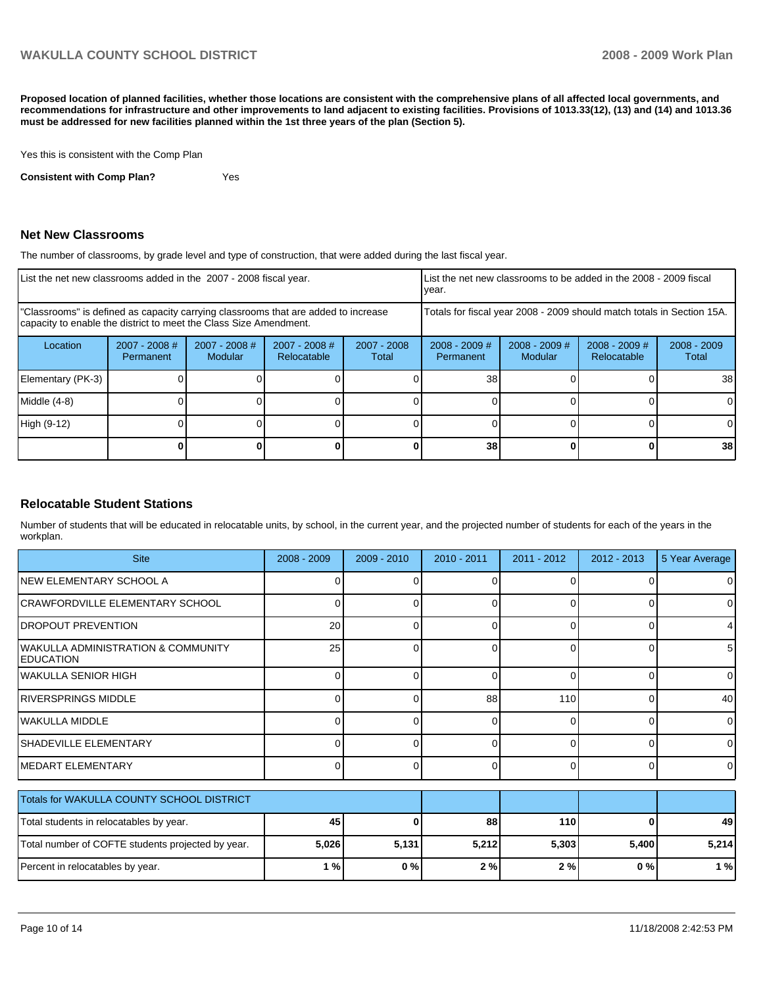**Proposed location of planned facilities, whether those locations are consistent with the comprehensive plans of all affected local governments, and recommendations for infrastructure and other improvements to land adjacent to existing facilities. Provisions of 1013.33(12), (13) and (14) and 1013.36 must be addressed for new facilities planned within the 1st three years of the plan (Section 5).** 

Yes this is consistent with the Comp Plan

**Consistent with Comp Plan?** Yes

## **Net New Classrooms**

The number of classrooms, by grade level and type of construction, that were added during the last fiscal year.

| List the net new classrooms added in the 2007 - 2008 fiscal year.                                                                                       |                              |                                   |                                |                        | List the net new classrooms to be added in the 2008 - 2009 fiscal<br>year. |                                   |                                |                        |
|---------------------------------------------------------------------------------------------------------------------------------------------------------|------------------------------|-----------------------------------|--------------------------------|------------------------|----------------------------------------------------------------------------|-----------------------------------|--------------------------------|------------------------|
| "Classrooms" is defined as capacity carrying classrooms that are added to increase<br>capacity to enable the district to meet the Class Size Amendment. |                              |                                   |                                |                        | Totals for fiscal year 2008 - 2009 should match totals in Section 15A.     |                                   |                                |                        |
| Location                                                                                                                                                | $2007 - 2008$ #<br>Permanent | $2007 - 2008$ #<br><b>Modular</b> | $2007 - 2008$ #<br>Relocatable | $2007 - 2008$<br>Total | $2008 - 2009$ #<br><b>Permanent</b>                                        | $2008 - 2009$ #<br><b>Modular</b> | $2008 - 2009$ #<br>Relocatable | $2008 - 2009$<br>Total |
| Elementary (PK-3)                                                                                                                                       |                              |                                   |                                |                        | 38                                                                         |                                   |                                | 38                     |
| Middle (4-8)                                                                                                                                            |                              |                                   |                                |                        |                                                                            |                                   |                                | $\Omega$               |
| High (9-12)                                                                                                                                             |                              |                                   |                                |                        |                                                                            |                                   |                                | $\Omega$               |
|                                                                                                                                                         |                              |                                   |                                |                        | 38                                                                         |                                   |                                | 38                     |

## **Relocatable Student Stations**

Number of students that will be educated in relocatable units, by school, in the current year, and the projected number of students for each of the years in the workplan.

| <b>Site</b>                                                       | 2008 - 2009  | 2009 - 2010 | $2010 - 2011$ | $2011 - 2012$ | $2012 - 2013$ | 5 Year Average |
|-------------------------------------------------------------------|--------------|-------------|---------------|---------------|---------------|----------------|
| <b>INEW ELEMENTARY SCHOOL A</b>                                   |              |             |               |               |               | 0              |
| CRAWFORDVILLE ELEMENTARY SCHOOL                                   | 0            | $\Omega$    | 0             | 0             | 0             | 0              |
| <b>DROPOUT PREVENTION</b>                                         | 20           | 0           | $\Omega$      |               | 0             | 4              |
| <b>WAKULLA ADMINISTRATION &amp; COMMUNITY</b><br><b>EDUCATION</b> | 25           | $\Omega$    | 0             | ∩             | 0             | 5              |
| <b>WAKULLA SENIOR HIGH</b>                                        | <sup>0</sup> | $\Omega$    | $\Omega$      | $\Omega$      | $\Omega$      | $\overline{0}$ |
| <b>RIVERSPRINGS MIDDLE</b>                                        | 0            | $\Omega$    | 88            | 110           | $\Omega$      | 40             |
| WAKULLA MIDDLE                                                    |              | 0           | $\Omega$      | $\Omega$      | $\Omega$      | $\Omega$       |
| <b>SHADEVILLE ELEMENTARY</b>                                      | 0            | $\Omega$    | 0             | 0             | 0             | $\overline{0}$ |
| IMEDART ELEMENTARY                                                |              | 0           | U             | $\Omega$      | $\Omega$      | $\Omega$       |
| Totals for WAKULLA COUNTY SCHOOL DISTRICT                         |              |             |               |               |               |                |
| Total students in relocatables by year.                           | 45           | 0           | 88            | 110           | 0             | 49             |
| Total number of COFTE students projected by year.                 | 5,026        | 5,131       | 5,212         | 5,303         | 5,400         | 5,214          |
| Percent in relocatables by year.                                  | 1%           | 0%          | 2%            | 2%            | 0%            | 1%             |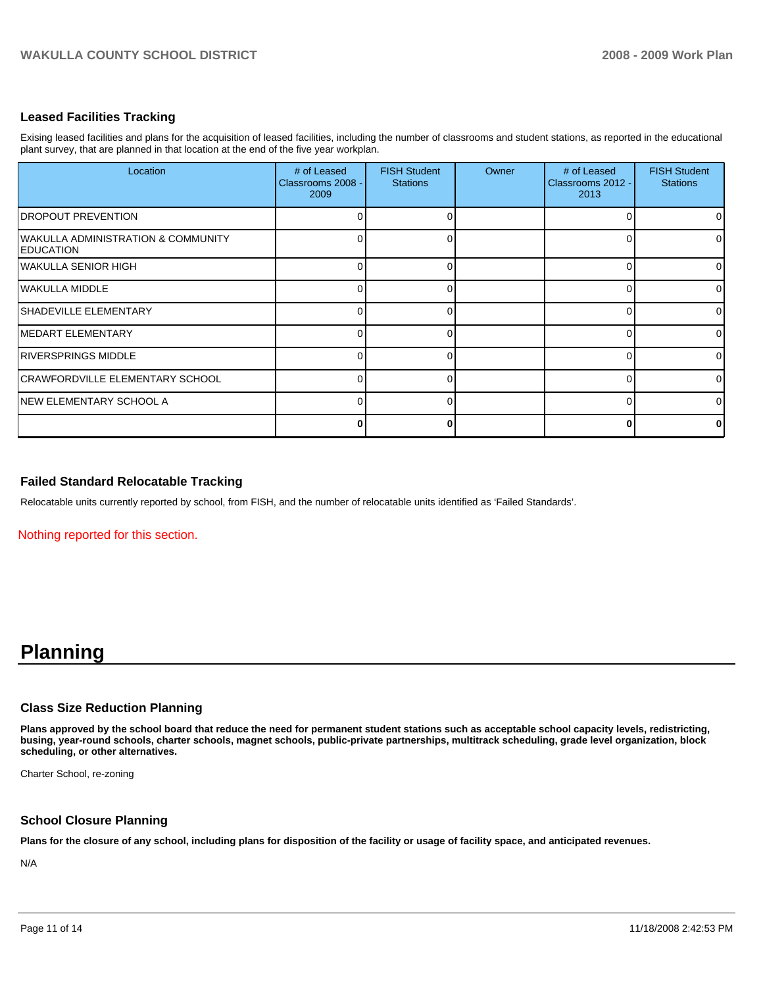## **Leased Facilities Tracking**

Exising leased facilities and plans for the acquisition of leased facilities, including the number of classrooms and student stations, as reported in the educational plant survey, that are planned in that location at the end of the five year workplan.

| Location                                                           | # of Leased<br>Classrooms 2008 -<br>2009 | <b>FISH Student</b><br><b>Stations</b> | Owner | # of Leased<br>Classrooms 2012 -<br>2013 | <b>FISH Student</b><br><b>Stations</b> |
|--------------------------------------------------------------------|------------------------------------------|----------------------------------------|-------|------------------------------------------|----------------------------------------|
| <b>DROPOUT PREVENTION</b>                                          | 0                                        |                                        |       |                                          | $\overline{0}$                         |
| <b>WAKULLA ADMINISTRATION &amp; COMMUNITY</b><br><b>IEDUCATION</b> | $\Omega$                                 |                                        |       |                                          | $\overline{0}$                         |
| <b>IWAKULLA SENIOR HIGH</b>                                        | 0                                        |                                        |       |                                          | $\overline{0}$                         |
| lwakulla middle                                                    | 0                                        |                                        |       |                                          | $\overline{0}$                         |
| ISHADEVILLE ELEMENTARY                                             | 0                                        |                                        |       |                                          | $\overline{0}$                         |
| <b>IMEDART ELEMENTARY</b>                                          | 0                                        |                                        |       |                                          | $\overline{0}$                         |
| <b>RIVERSPRINGS MIDDLE</b>                                         | 0                                        |                                        |       |                                          | $\overline{0}$                         |
| <b>CRAWFORDVILLE ELEMENTARY SCHOOL</b>                             | O                                        |                                        |       |                                          | $\Omega$                               |
| INEW ELEMENTARY SCHOOL A                                           | O                                        |                                        |       |                                          | $\Omega$                               |
|                                                                    | 0                                        |                                        |       |                                          | $\mathbf{0}$                           |

## **Failed Standard Relocatable Tracking**

Relocatable units currently reported by school, from FISH, and the number of relocatable units identified as 'Failed Standards'.

Nothing reported for this section.

# **Planning**

#### **Class Size Reduction Planning**

**Plans approved by the school board that reduce the need for permanent student stations such as acceptable school capacity levels, redistricting, busing, year-round schools, charter schools, magnet schools, public-private partnerships, multitrack scheduling, grade level organization, block scheduling, or other alternatives.** 

Charter School, re-zoning

## **School Closure Planning**

**Plans for the closure of any school, including plans for disposition of the facility or usage of facility space, and anticipated revenues.** 

N/A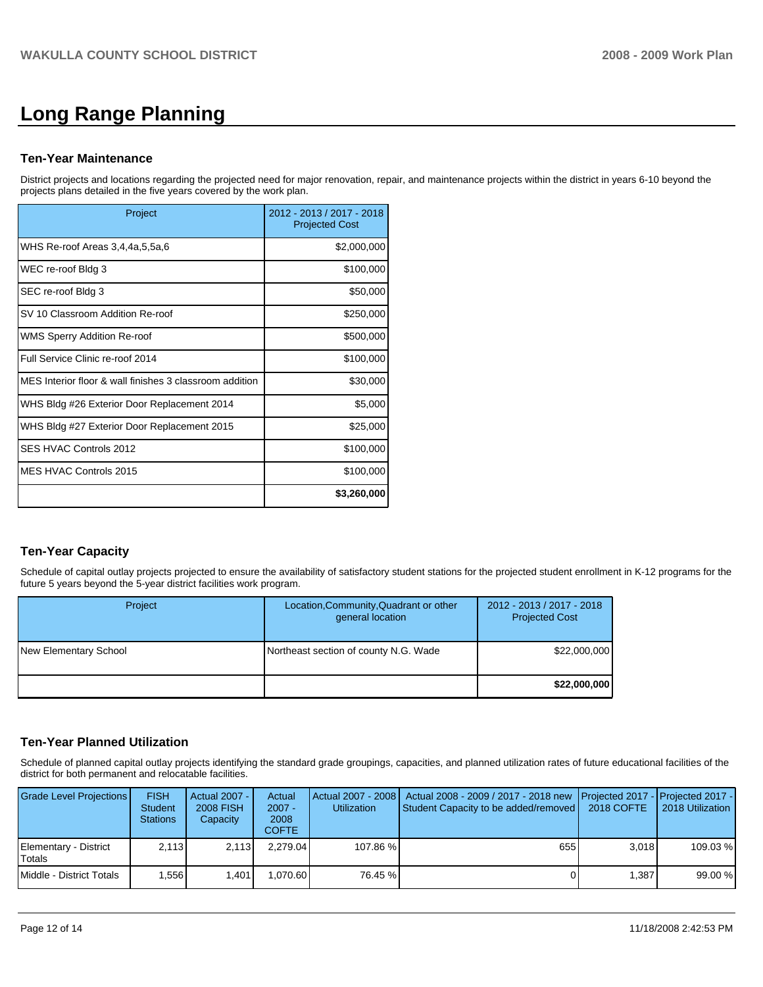# **Long Range Planning**

## **Ten-Year Maintenance**

District projects and locations regarding the projected need for major renovation, repair, and maintenance projects within the district in years 6-10 beyond the projects plans detailed in the five years covered by the work plan.

| Project                                                 | 2012 - 2013 / 2017 - 2018<br><b>Projected Cost</b> |
|---------------------------------------------------------|----------------------------------------------------|
| WHS Re-roof Areas 3,4,4a,5,5a,6                         | \$2,000,000                                        |
| WEC re-roof Bldg 3                                      | \$100,000                                          |
| SEC re-roof Bldg 3                                      | \$50,000                                           |
| SV 10 Classroom Addition Re-roof                        | \$250,000                                          |
| WMS Sperry Addition Re-roof                             | \$500,000                                          |
| Full Service Clinic re-roof 2014                        | \$100,000                                          |
| MES Interior floor & wall finishes 3 classroom addition | \$30,000                                           |
| WHS Bldg #26 Exterior Door Replacement 2014             | \$5,000                                            |
| WHS Bldg #27 Exterior Door Replacement 2015             | \$25,000                                           |
| SES HVAC Controls 2012                                  | \$100,000                                          |
| MES HVAC Controls 2015                                  | \$100,000                                          |
|                                                         | \$3,260,000                                        |

# **Ten-Year Capacity**

Schedule of capital outlay projects projected to ensure the availability of satisfactory student stations for the projected student enrollment in K-12 programs for the future 5 years beyond the 5-year district facilities work program.

| <b>Project</b>        | Location, Community, Quadrant or other<br>general location | 2012 - 2013 / 2017 - 2018<br><b>Projected Cost</b> |
|-----------------------|------------------------------------------------------------|----------------------------------------------------|
| New Elementary School | Northeast section of county N.G. Wade                      | \$22,000,000                                       |
|                       |                                                            | \$22,000,000                                       |

## **Ten-Year Planned Utilization**

Schedule of planned capital outlay projects identifying the standard grade groupings, capacities, and planned utilization rates of future educational facilities of the district for both permanent and relocatable facilities.

| Grade Level Projections         | <b>FISH</b><br><b>Student</b><br><b>Stations</b> | Actual 2007 -<br>2008 FISH<br>Capacity | Actual<br>$2007 -$<br>2008<br>COFTE: | Actual 2007 - 2008<br><b>Utilization</b> | Actual 2008 - 2009 / 2017 - 2018 new Projected 2017 - Projected 2017 -<br>Student Capacity to be added/removed | 2018 COFTE | 2018 Utilization I |
|---------------------------------|--------------------------------------------------|----------------------------------------|--------------------------------------|------------------------------------------|----------------------------------------------------------------------------------------------------------------|------------|--------------------|
| Elementary - District<br>Totals | 2.113                                            | 2.113                                  | 2.279.04                             | 107.86 %                                 | 655                                                                                                            | 3.018      | 109.03 %           |
| Middle - District Totals        | . 556 1                                          | 1.401                                  | .070.60                              | 76.45 %                                  |                                                                                                                | 1.387      | 99.00 %            |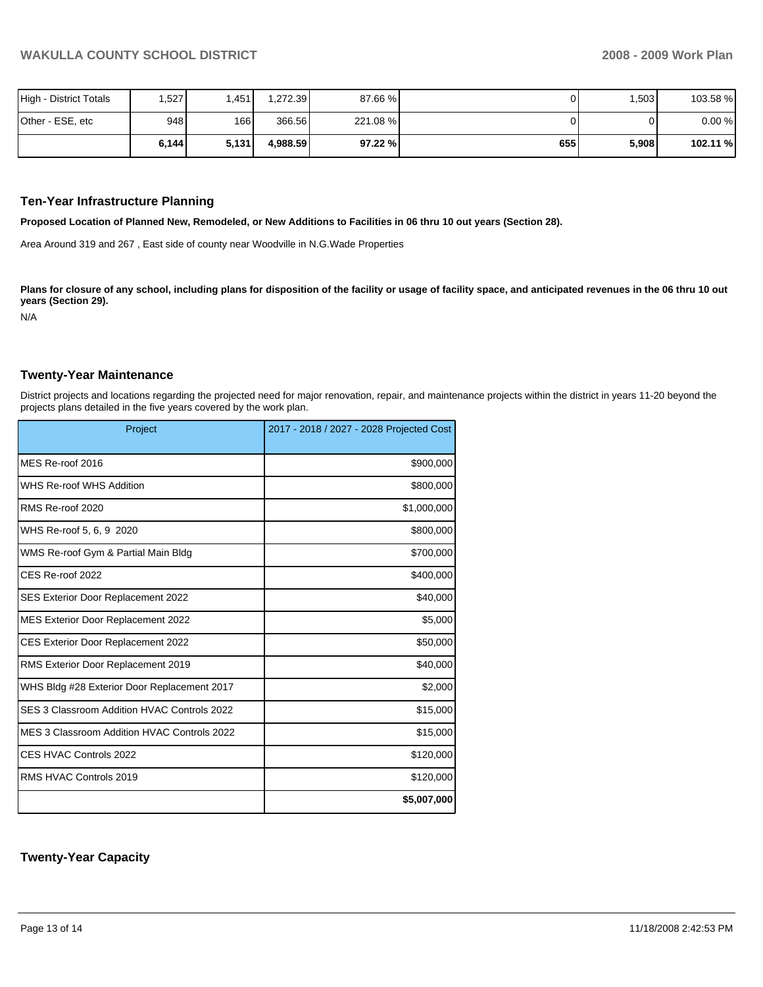| High - District Totals | ,527  | 1.4511 | .272.39  | 87.66 % |     | .503  | 103.58 % |
|------------------------|-------|--------|----------|---------|-----|-------|----------|
| Other - ESE, etc       | 948   | 166 I  | 366.56   | 221.08% |     |       | 0.00%    |
|                        | 6,144 | 5,131  | 4.988.59 | 97.22 % | 655 | 5,908 | 102.11 % |

#### **Ten-Year Infrastructure Planning**

**Proposed Location of Planned New, Remodeled, or New Additions to Facilities in 06 thru 10 out years (Section 28).** 

Area Around 319 and 267 , East side of county near Woodville in N.G.Wade Properties

Plans for closure of any school, including plans for disposition of the facility or usage of facility space, and anticipated revenues in the 06 thru 10 out **years (Section 29).** 

N/A

#### **Twenty-Year Maintenance**

District projects and locations regarding the projected need for major renovation, repair, and maintenance projects within the district in years 11-20 beyond the projects plans detailed in the five years covered by the work plan.

| Project                                     | 2017 - 2018 / 2027 - 2028 Projected Cost |
|---------------------------------------------|------------------------------------------|
| MES Re-roof 2016                            | \$900,000                                |
| WHS Re-roof WHS Addition                    | \$800,000                                |
| RMS Re-roof 2020                            | \$1,000,000                              |
| WHS Re-roof 5, 6, 9 2020                    | \$800,000                                |
| WMS Re-roof Gym & Partial Main Bldg         | \$700,000                                |
| CES Re-roof 2022                            | \$400,000                                |
| SES Exterior Door Replacement 2022          | \$40,000                                 |
| MES Exterior Door Replacement 2022          | \$5,000                                  |
| <b>CES Exterior Door Replacement 2022</b>   | \$50,000                                 |
| RMS Exterior Door Replacement 2019          | \$40,000                                 |
| WHS Bldg #28 Exterior Door Replacement 2017 | \$2,000                                  |
| SES 3 Classroom Addition HVAC Controls 2022 | \$15,000                                 |
| MES 3 Classroom Addition HVAC Controls 2022 | \$15,000                                 |
| CES HVAC Controls 2022                      | \$120,000                                |
| RMS HVAC Controls 2019                      | \$120,000                                |
|                                             | \$5,007,000                              |

## **Twenty-Year Capacity**